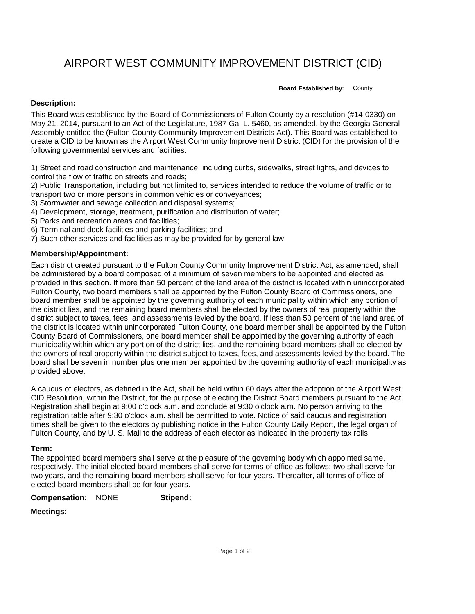# AIRPORT WEST COMMUNITY IMPROVEMENT DISTRICT (CID)

**Board Established by:** County

## **Description:**

This Board was established by the Board of Commissioners of Fulton County by a resolution (#14-0330) on May 21, 2014, pursuant to an Act of the Legislature, 1987 Ga. L. 5460, as amended, by the Georgia General Assembly entitled the (Fulton County Community Improvement Districts Act). This Board was established to create a CID to be known as the Airport West Community Improvement District (CID) for the provision of the following governmental services and facilities:

1) Street and road construction and maintenance, including curbs, sidewalks, street lights, and devices to control the flow of traffic on streets and roads;

2) Public Transportation, including but not limited to, services intended to reduce the volume of traffic or to transport two or more persons in common vehicles or conveyances;

3) Stormwater and sewage collection and disposal systems;

4) Development, storage, treatment, purification and distribution of water;

- 5) Parks and recreation areas and facilities;
- 6) Terminal and dock facilities and parking facilities; and
- 7) Such other services and facilities as may be provided for by general law

### **Membership/Appointment:**

Each district created pursuant to the Fulton County Community Improvement District Act, as amended, shall be administered by a board composed of a minimum of seven members to be appointed and elected as provided in this section. If more than 50 percent of the land area of the district is located within unincorporated Fulton County, two board members shall be appointed by the Fulton County Board of Commissioners, one board member shall be appointed by the governing authority of each municipality within which any portion of the district lies, and the remaining board members shall be elected by the owners of real property within the district subject to taxes, fees, and assessments levied by the board. If less than 50 percent of the land area of the district is located within unincorporated Fulton County, one board member shall be appointed by the Fulton County Board of Commissioners, one board member shall be appointed by the governing authority of each municipality within which any portion of the district lies, and the remaining board members shall be elected by the owners of real property within the district subject to taxes, fees, and assessments levied by the board. The board shall be seven in number plus one member appointed by the governing authority of each municipality as provided above.

A caucus of electors, as defined in the Act, shall be held within 60 days after the adoption of the Airport West CID Resolution, within the District, for the purpose of electing the District Board members pursuant to the Act. Registration shall begin at 9:00 o'clock a.m. and conclude at 9:30 o'clock a.m. No person arriving to the registration table after 9:30 o'clock a.m. shall be permitted to vote. Notice of said caucus and registration times shall be given to the electors by publishing notice in the Fulton County Daily Report, the legal organ of Fulton County, and by U. S. Mail to the address of each elector as indicated in the property tax rolls.

### **Term:**

The appointed board members shall serve at the pleasure of the governing body which appointed same, respectively. The initial elected board members shall serve for terms of office as follows: two shall serve for two years, and the remaining board members shall serve for four years. Thereafter, all terms of office of elected board members shall be for four years.

**Compensation:** NONE **Stipend:**

### **Meetings:**